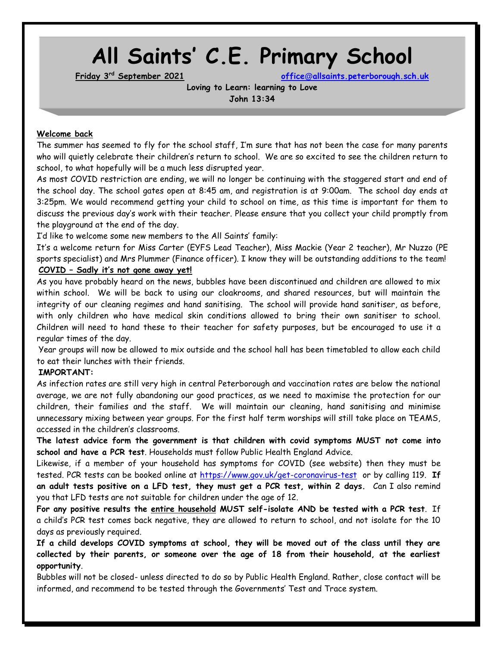# **All Saints' C.E. Primary School**

**Friday 3rd September 2021 office@[allsaints.peterborough.sch.uk](mailto:office@allsaints.peterborough.sch.uk)**

**Loving to Learn: learning to Love John 13:34**

#### **Welcome back**

The summer has seemed to fly for the school staff, I'm sure that has not been the case for many parents who will quietly celebrate their children's return to school. We are so excited to see the children return to school, to what hopefully will be a much less disrupted year.

As most COVID restriction are ending, we will no longer be continuing with the staggered start and end of the school day. The school gates open at 8:45 am, and registration is at 9:00am. The school day ends at 3:25pm. We would recommend getting your child to school on time, as this time is important for them to discuss the previous day's work with their teacher. Please ensure that you collect your child promptly from the playground at the end of the day.

I'd like to welcome some new members to the All Saints' family:

It's a welcome return for Miss Carter (EYFS Lead Teacher), Miss Mackie (Year 2 teacher), Mr Nuzzo (PE sports specialist) and Mrs Plummer (Finance officer). I know they will be outstanding additions to the team! **COVID – Sadly it's not gone away yet!**

As you have probably heard on the news, bubbles have been discontinued and children are allowed to mix within school. We will be back to using our cloakrooms, and shared resources, but will maintain the integrity of our cleaning regimes and hand sanitising. The school will provide hand sanitiser, as before, with only children who have medical skin conditions allowed to bring their own sanitiser to school. Children will need to hand these to their teacher for safety purposes, but be encouraged to use it a regular times of the day.

Year groups will now be allowed to mix outside and the school hall has been timetabled to allow each child to eat their lunches with their friends.

#### **IMPORTANT:**

As infection rates are still very high in central Peterborough and vaccination rates are below the national average, we are not fully abandoning our good practices, as we need to maximise the protection for our children, their families and the staff. We will maintain our cleaning, hand sanitising and minimise unnecessary mixing between year groups. For the first half term worships will still take place on TEAMS, accessed in the children's classrooms.

**The latest advice form the government is that children with covid symptoms MUST not come into school and have a PCR test**. Households must follow Public Health England Advice.

Likewise, if a member of your household has symptoms for COVID (see website) then they must be tested. PCR tests can be booked online at<https://www.gov.uk/get-coronavirus-test> or by calling 119. **If an adult tests positive on a LFD test, they must get a PCR test, within 2 days.** Can I also remind you that LFD tests are not suitable for children under the age of 12.

**For any positive results the entire household MUST self-isolate AND be tested with a PCR test**. If a child's PCR test comes back negative, they are allowed to return to school, and not isolate for the 10 days as previously required.

**If a child develops COVID symptoms at school, they will be moved out of the class until they are collected by their parents, or someone over the age of 18 from their household, at the earliest opportunity**.

Bubbles will not be closed- unless directed to do so by Public Health England. Rather, close contact will be informed, and recommend to be tested through the Governments' Test and Trace system.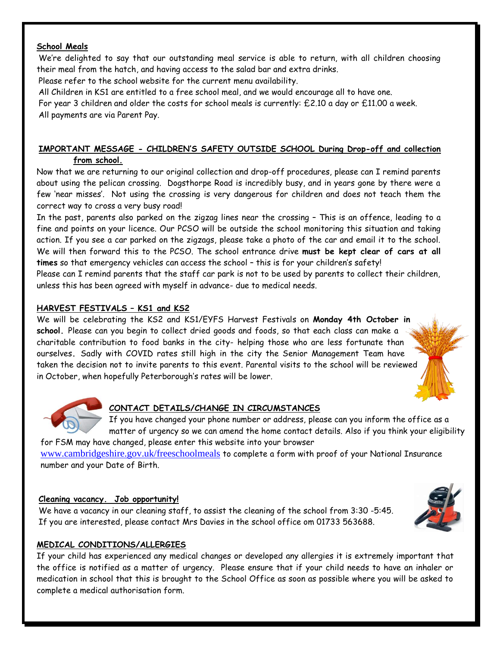## **School Meals**

We're delighted to say that our outstanding meal service is able to return, with all children choosing their meal from the hatch, and having access to the salad bar and extra drinks.

Please refer to the school website for the current menu availability.

All Children in KS1 are entitled to a free school meal, and we would encourage all to have one. For year 3 children and older the costs for school meals is currently: £2.10 a day or £11.00 a week. All payments are via Parent Pay.

# **IMPORTANT MESSAGE - CHILDREN'S SAFETY OUTSIDE SCHOOL During Drop-off and collection from school.**

Now that we are returning to our original collection and drop-off procedures, please can I remind parents about using the pelican crossing. Dogsthorpe Road is incredibly busy, and in years gone by there were a few 'near misses'. Not using the crossing is very dangerous for children and does not teach them the correct way to cross a very busy road!

In the past, parents also parked on the zigzag lines near the crossing – This is an offence, leading to a fine and points on your licence. Our PCSO will be outside the school monitoring this situation and taking action. If you see a car parked on the zigzags, please take a photo of the car and email it to the school. We will then forward this to the PCSO. The school entrance drive **must be kept clear of cars at all times** so that emergency vehicles can access the school – this is for your children's safety!

Please can I remind parents that the staff car park is not to be used by parents to collect their children, unless this has been agreed with myself in advance- due to medical needs.

# **HARVEST FESTIVALS – KS1 and KS2**

We will be celebrating the KS2 and KS1/EYFS Harvest Festivals on **Monday 4th October in school.** Please can you begin to collect dried goods and foods, so that each class can make a charitable contribution to food banks in the city- helping those who are less fortunate than ourselves**.** Sadly with COVID rates still high in the city the Senior Management Team have taken the decision not to invite parents to this event. Parental visits to the school will be reviewed in October, when hopefully Peterborough's rates will be lower.





# **CONTACT DETAILS/CHANGE IN CIRCUMSTANCES**

If you have changed your phone number or address, please can you inform the office as a matter of urgency so we can amend the home contact details. Also if you think your eligibility

for FSM may have changed, please enter this website into your browser [www.cambridgeshire.gov.uk/freeschoolmeals](http://www.cambridgeshire.gov.uk/freeschoolmeals) to complete a form with proof of your National Insurance number and your Date of Birth.

## **Cleaning vacancy. Job opportunity!**

We have a vacancy in our cleaning staff, to assist the cleaning of the school from 3:30 -5:45. If you are interested, please contact Mrs Davies in the school office om 01733 563688.



# **MEDICAL CONDITIONS/ALLERGIES**

If your child has experienced any medical changes or developed any allergies it is extremely important that the office is notified as a matter of urgency. Please ensure that if your child needs to have an inhaler or medication in school that this is brought to the School Office as soon as possible where you will be asked to complete a medical authorisation form.